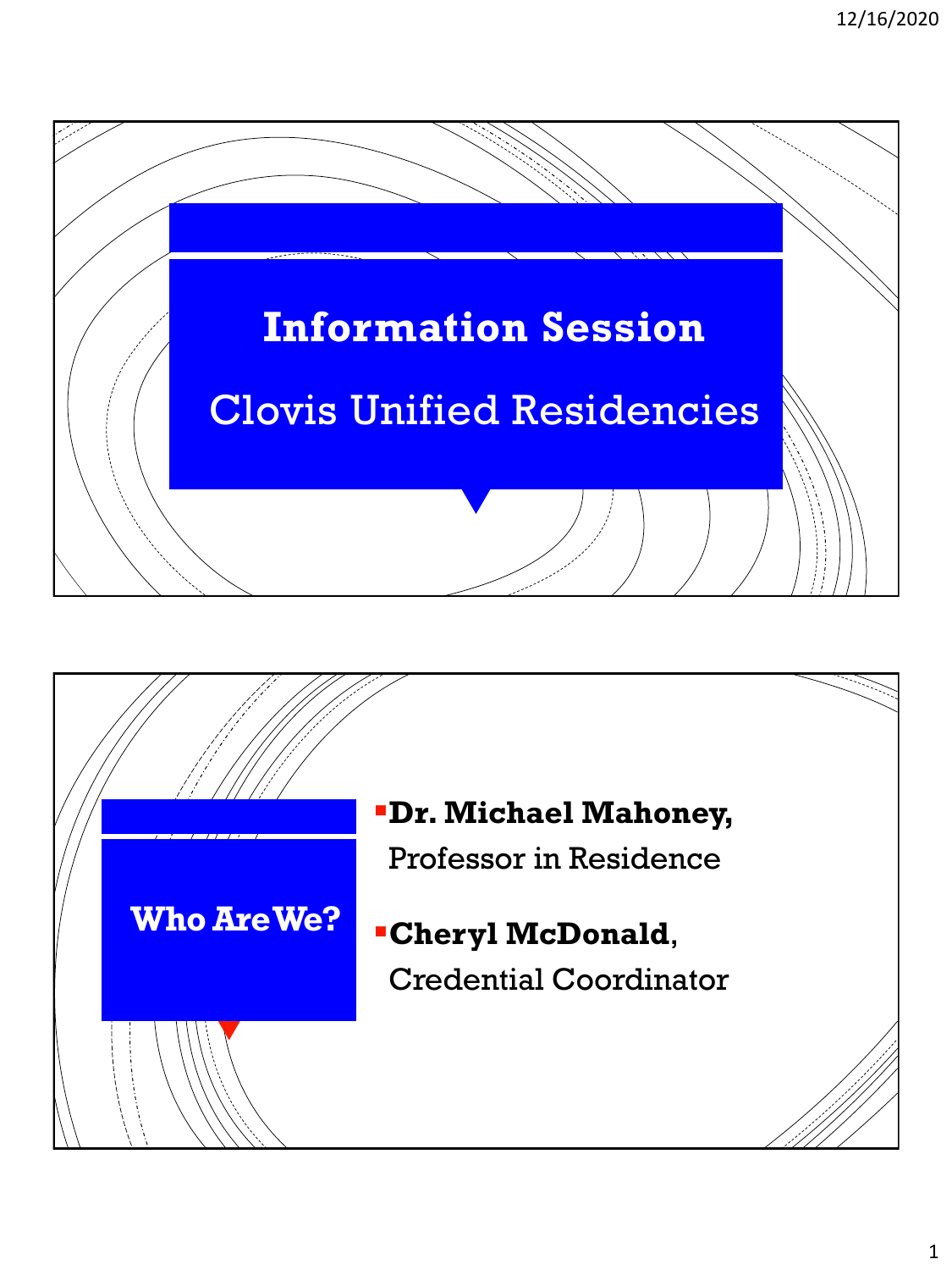

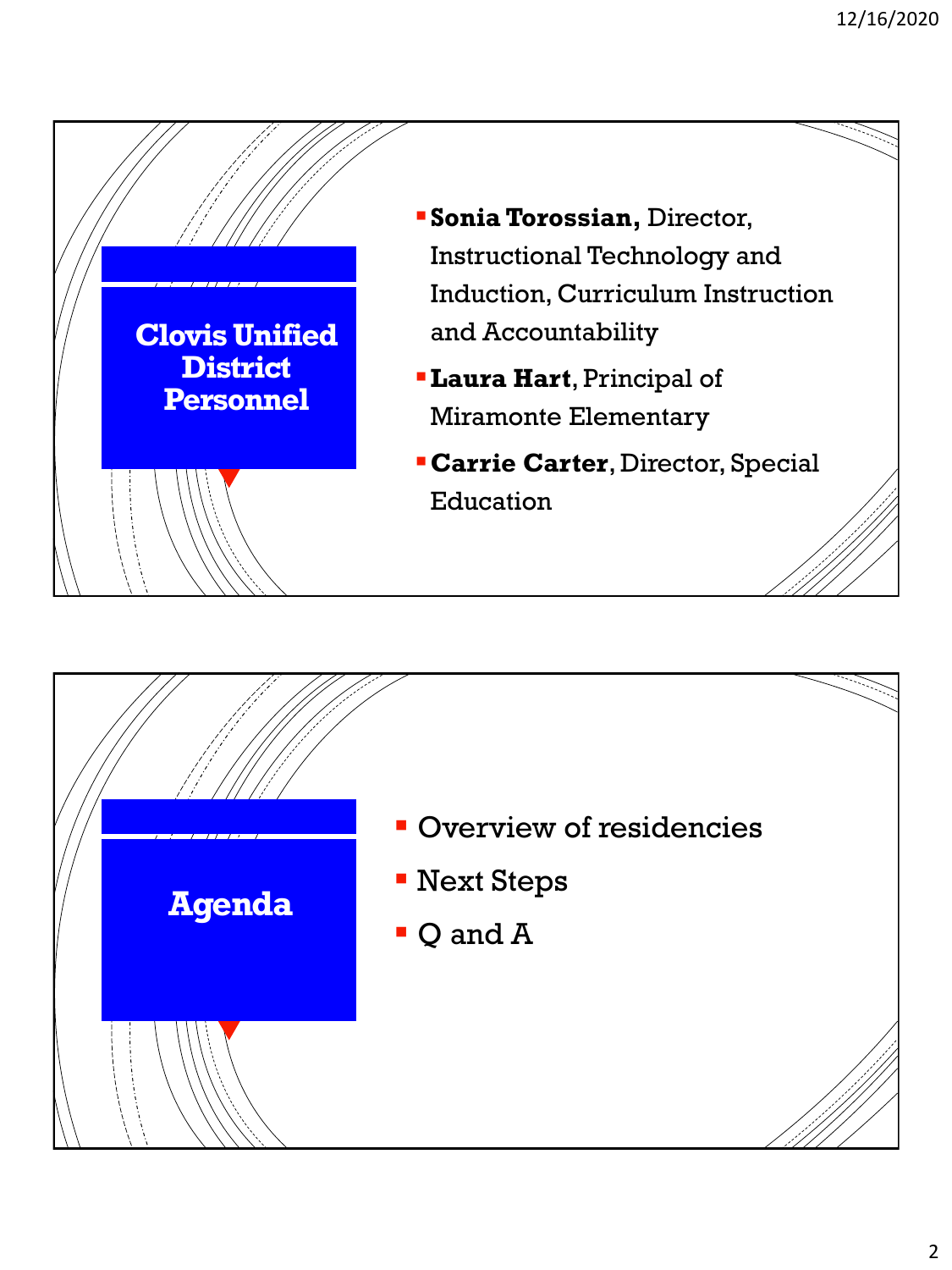

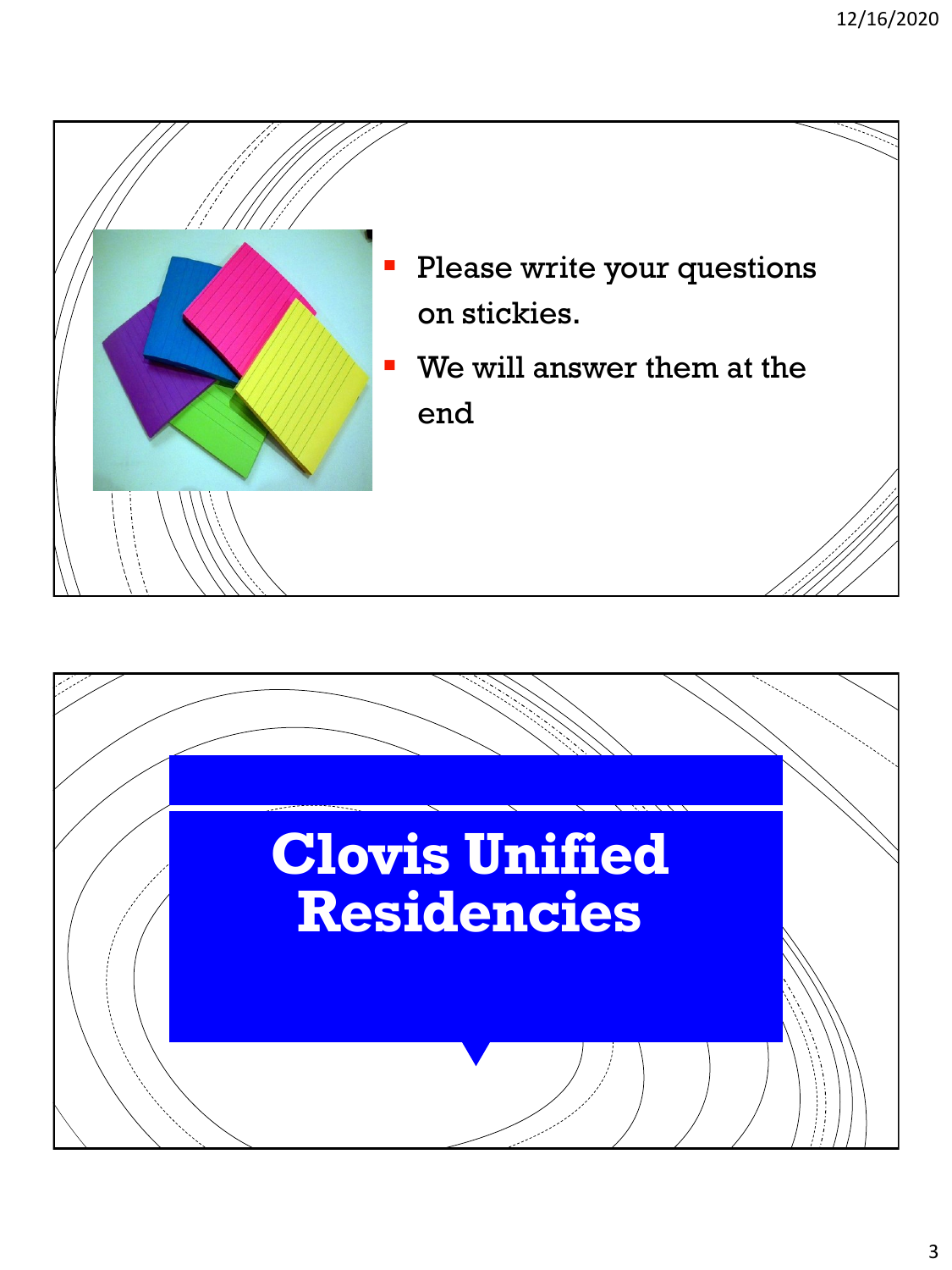

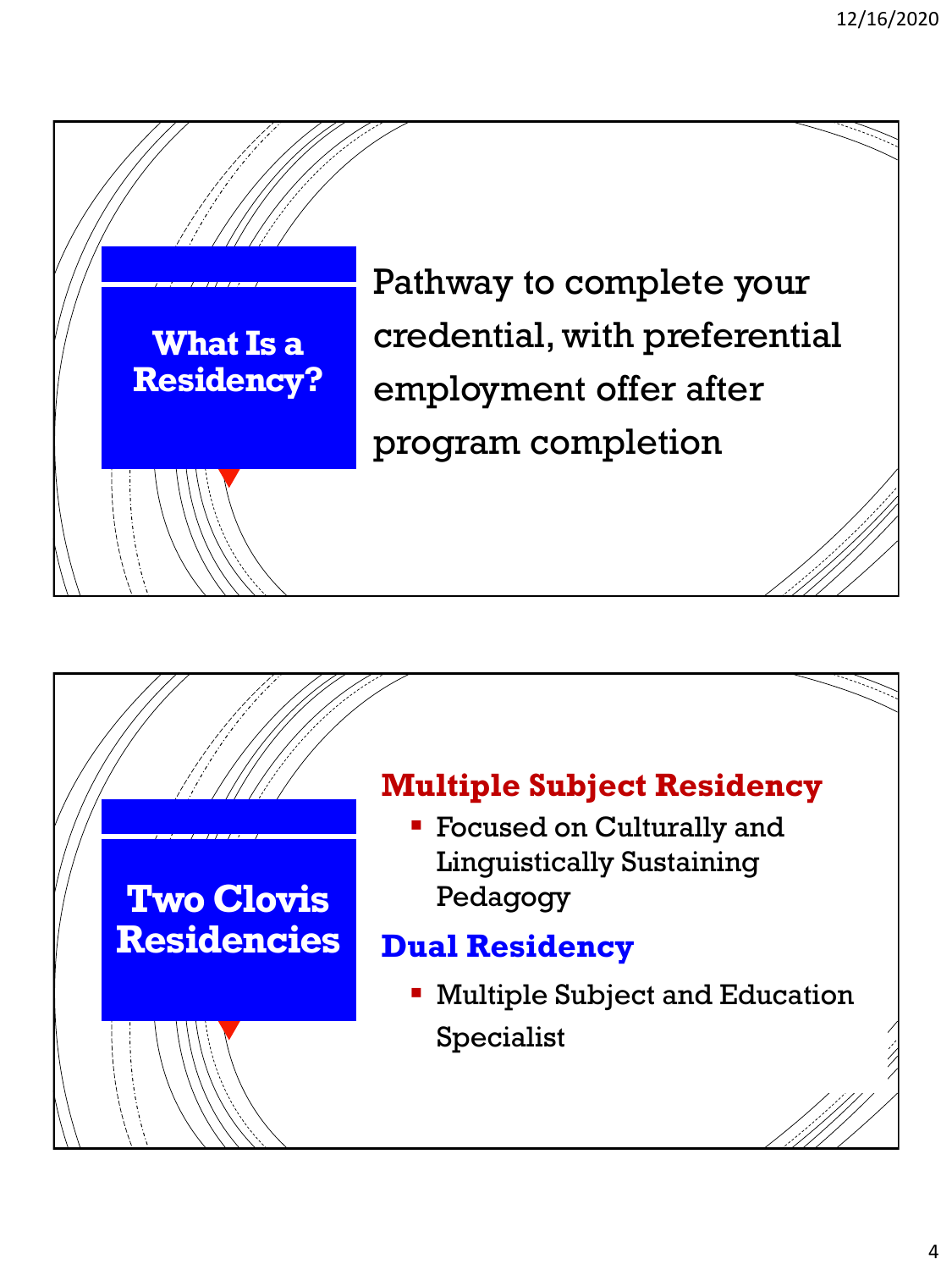



## **Multiple Subject Residency**<br>Focused on Culturally and

**Focused on Culturally and** Linguistically Sustaining  $\overline{C}$  and  $\overline{C}$ Pedagogy

## iai Residency **accepted for Dual Residency**

**EXECUTE: Multiple Subject and Education** Specialist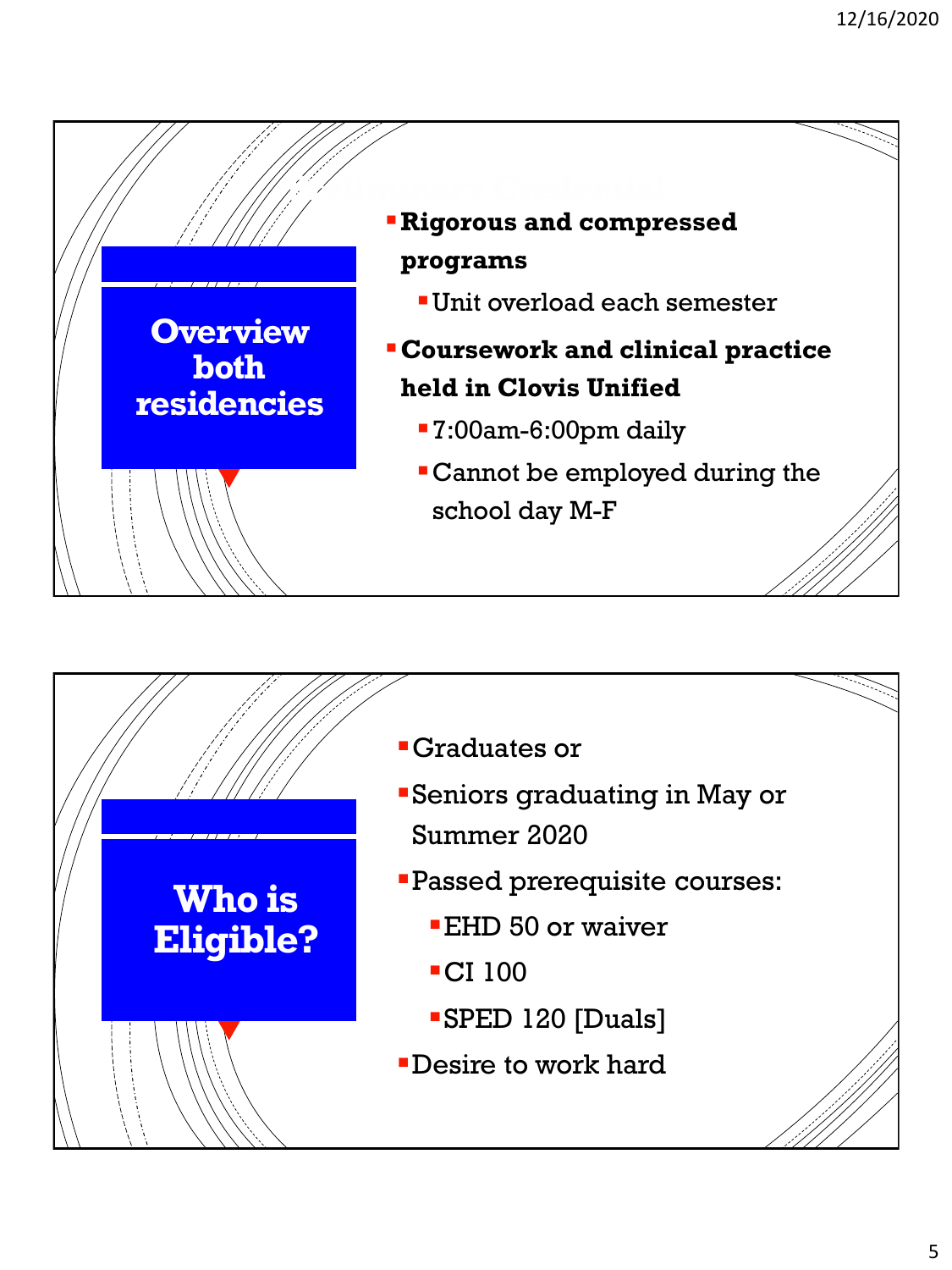

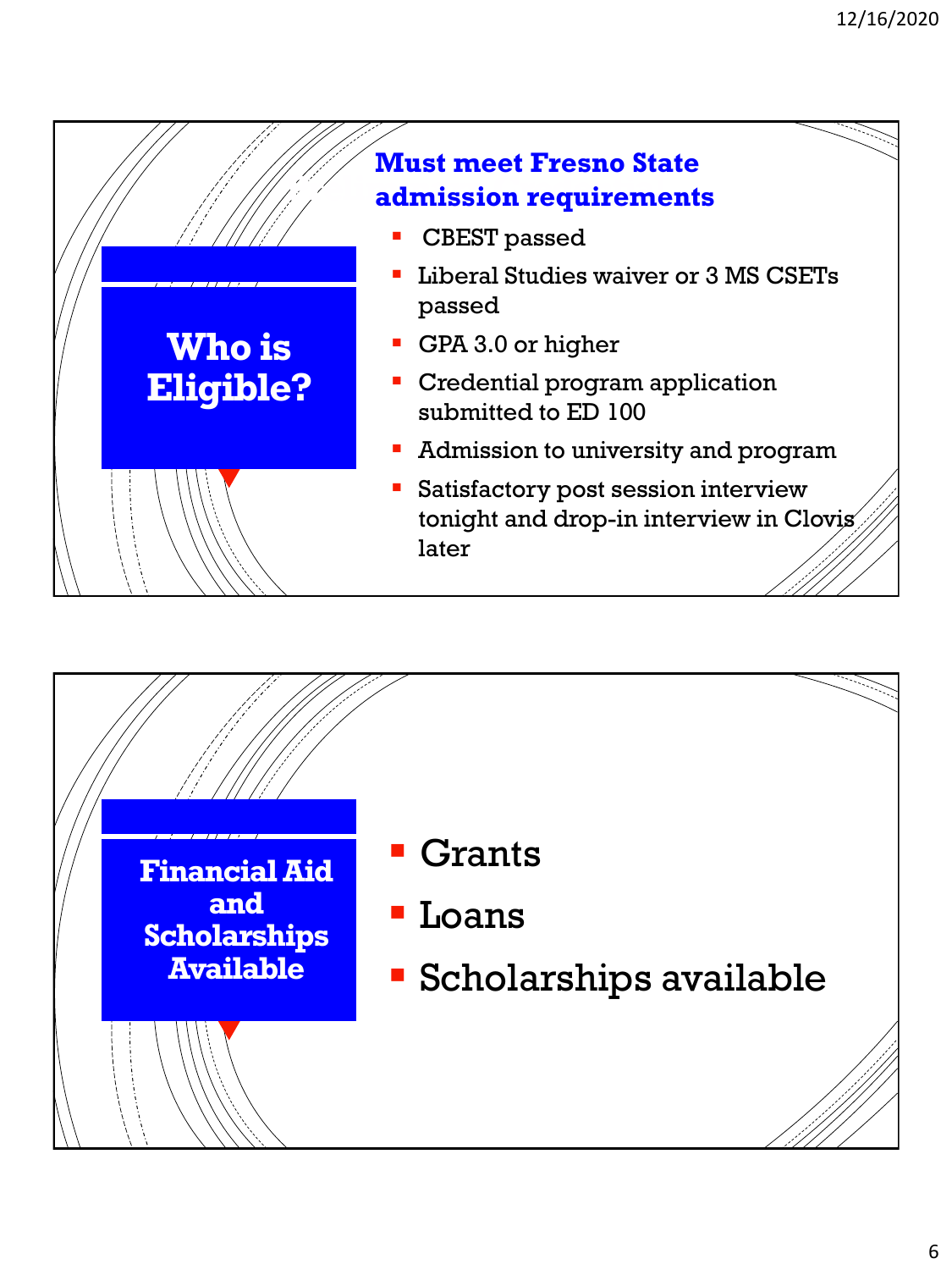

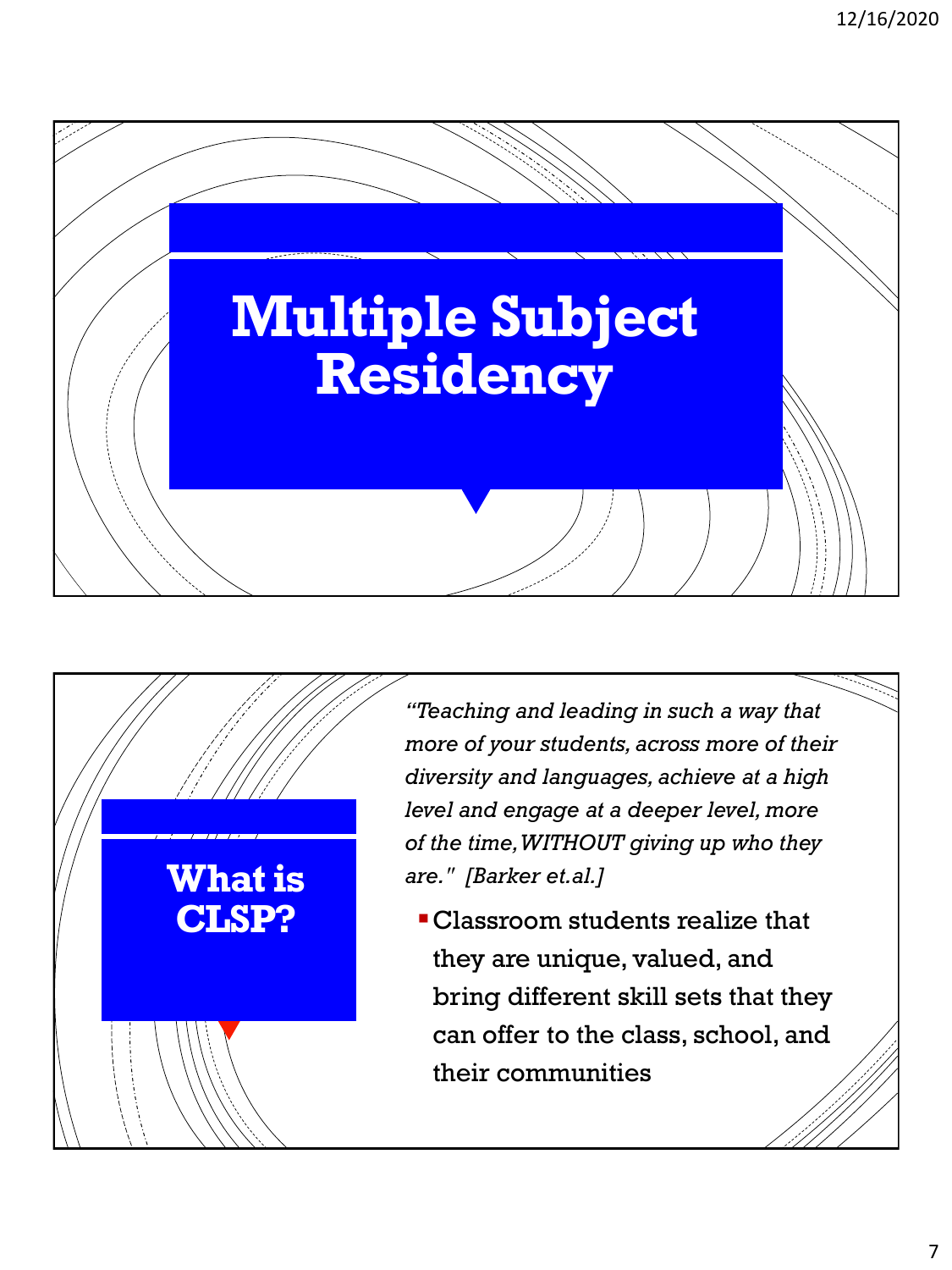



*"Teaching and leading in such a way that more of your students, across more of their diversity and languages, achieve at a high level and engage at a deeper level, more of the time, WITHOUT giving up who they are." [Barker et.al.]*

Classroom students realize that they are unique, valued, and bring different skill sets that they can offer to the class, school, and their communities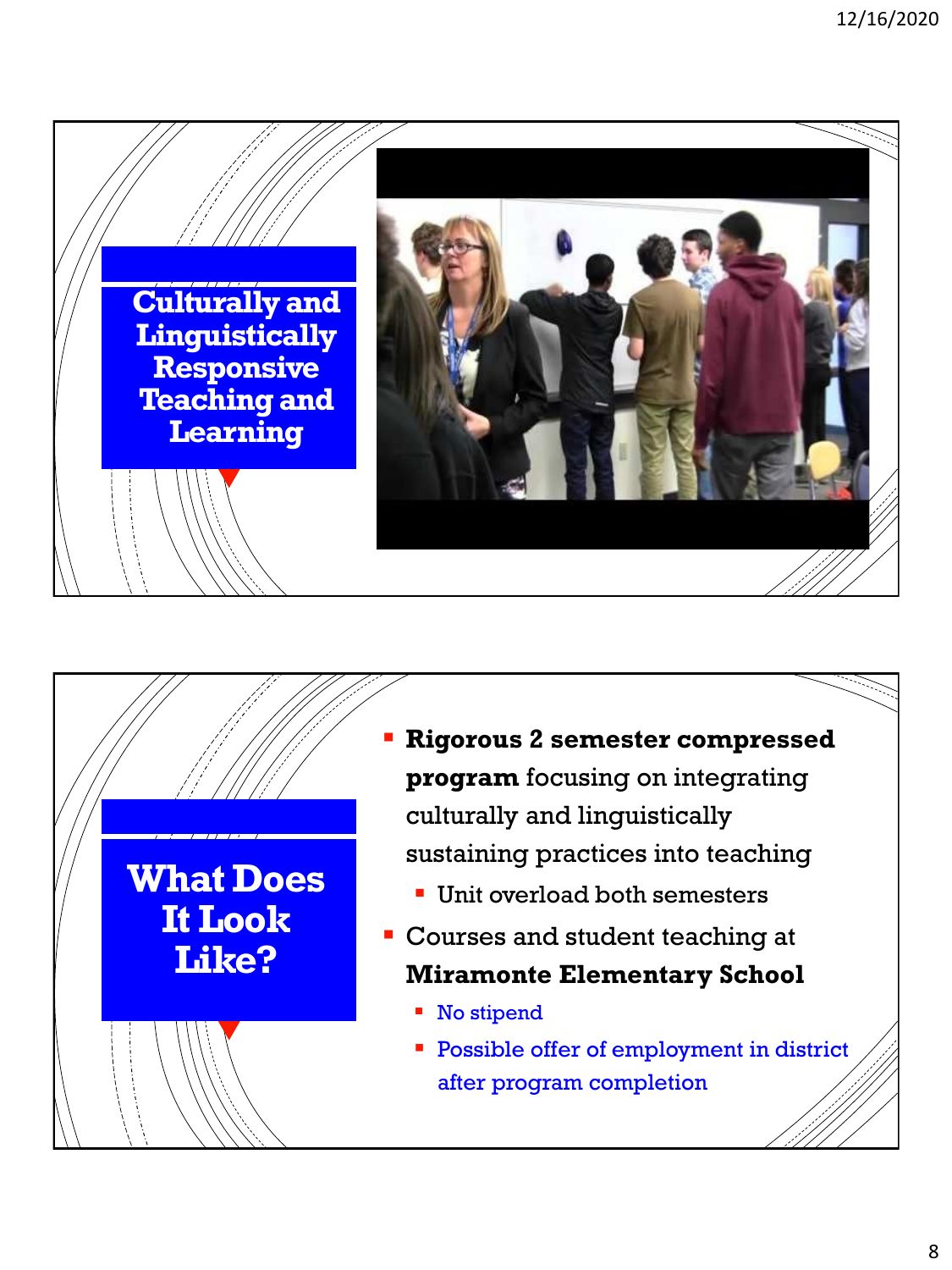



- **Rigorous 2 semester compressed program** focusing on integrating culturally and linguistically sustaining practices into teaching
	- **Unit overload both semesters**
- Courses and student teaching at **Miramonte Elementary School**
	- No stipend
	- **Possible offer of employment in district** after program completion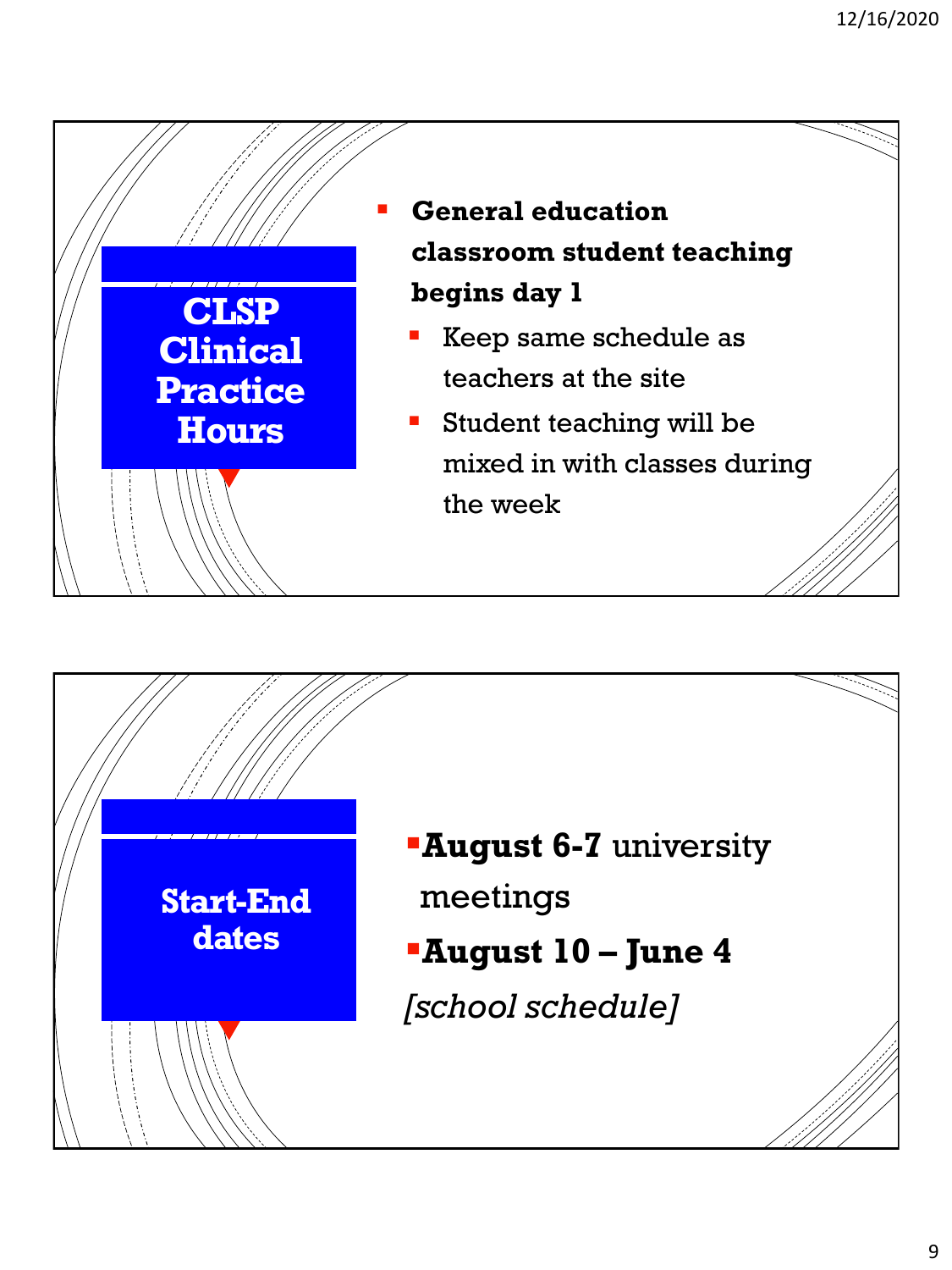

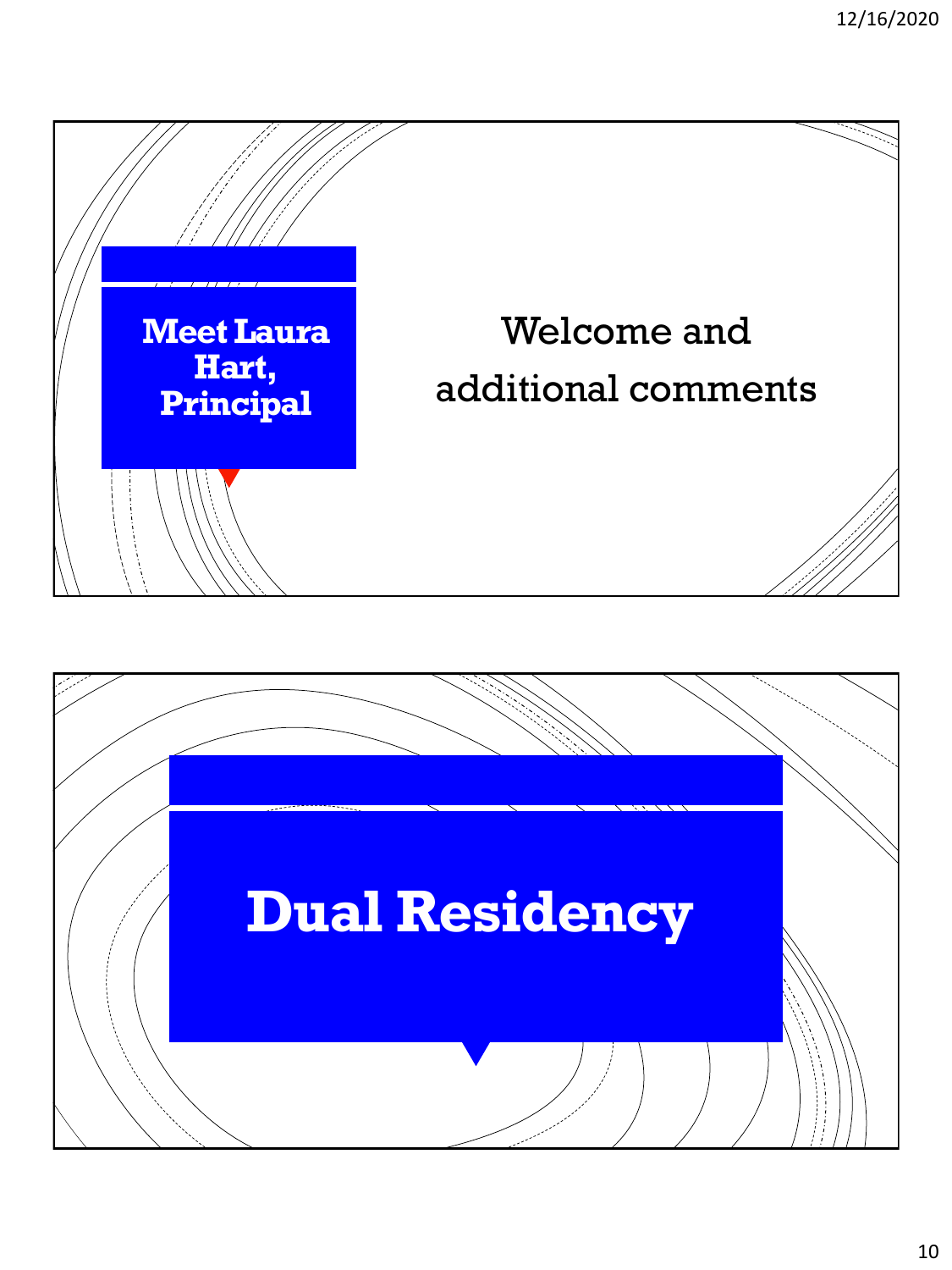

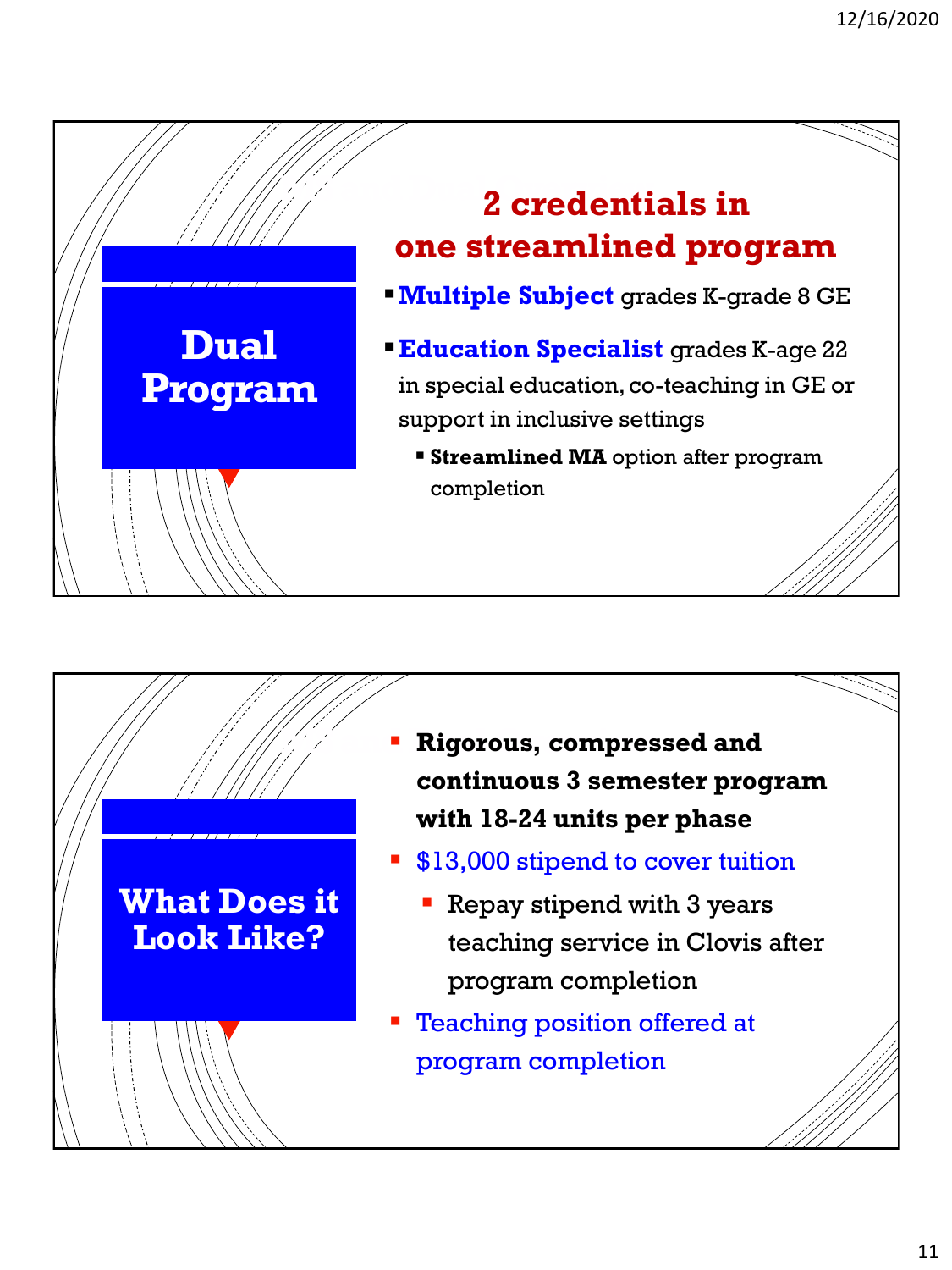



- $\mathscr{A}$  **Rigorous, compressed and continuous 3 semester program with 18-24 units per phase**
	- **S13,000 stipend to cover tuition** 
		- **Repay stipend with 3 years** teaching service in Clovis after program completion
	- Teaching position offered at program completion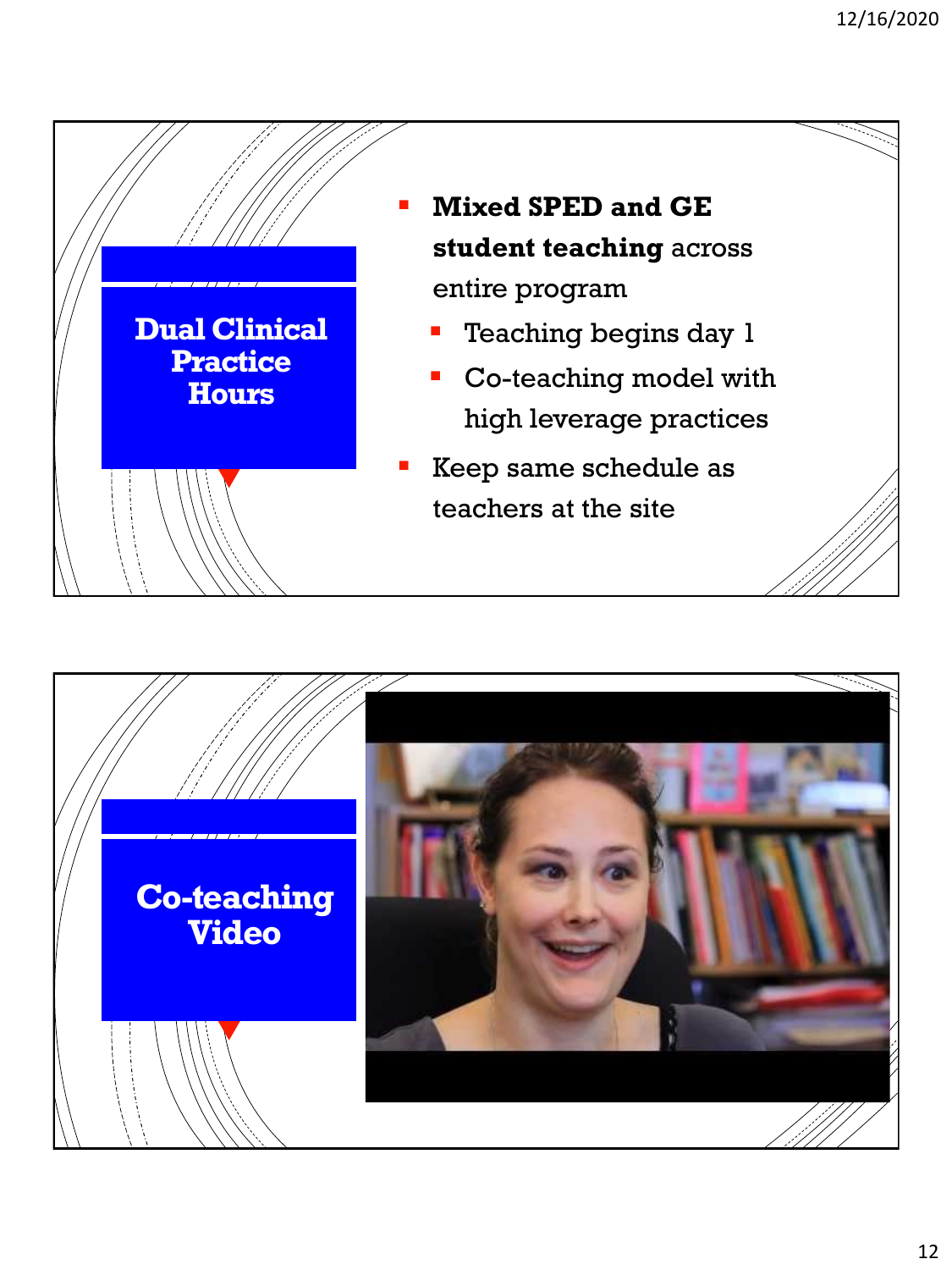

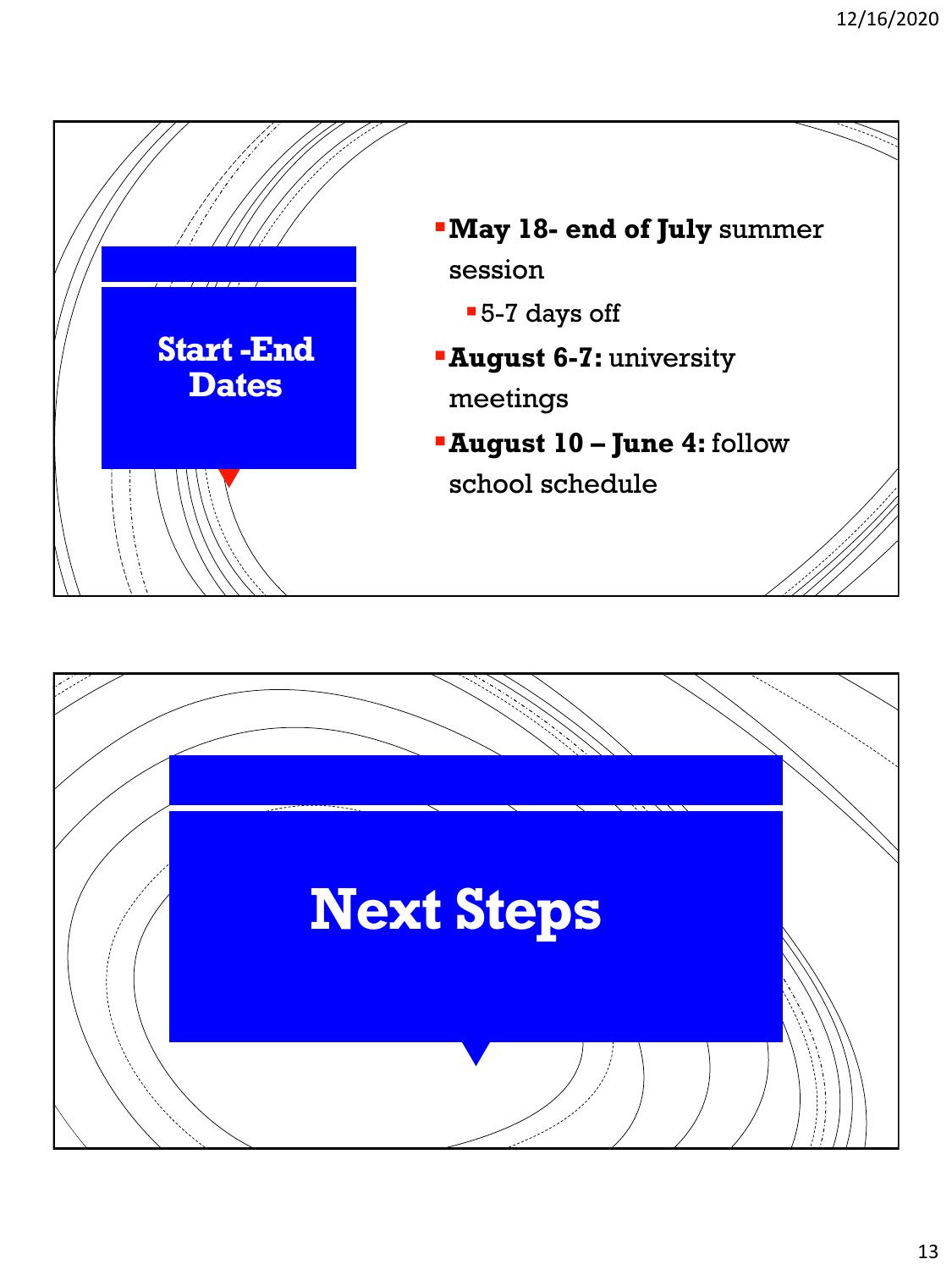

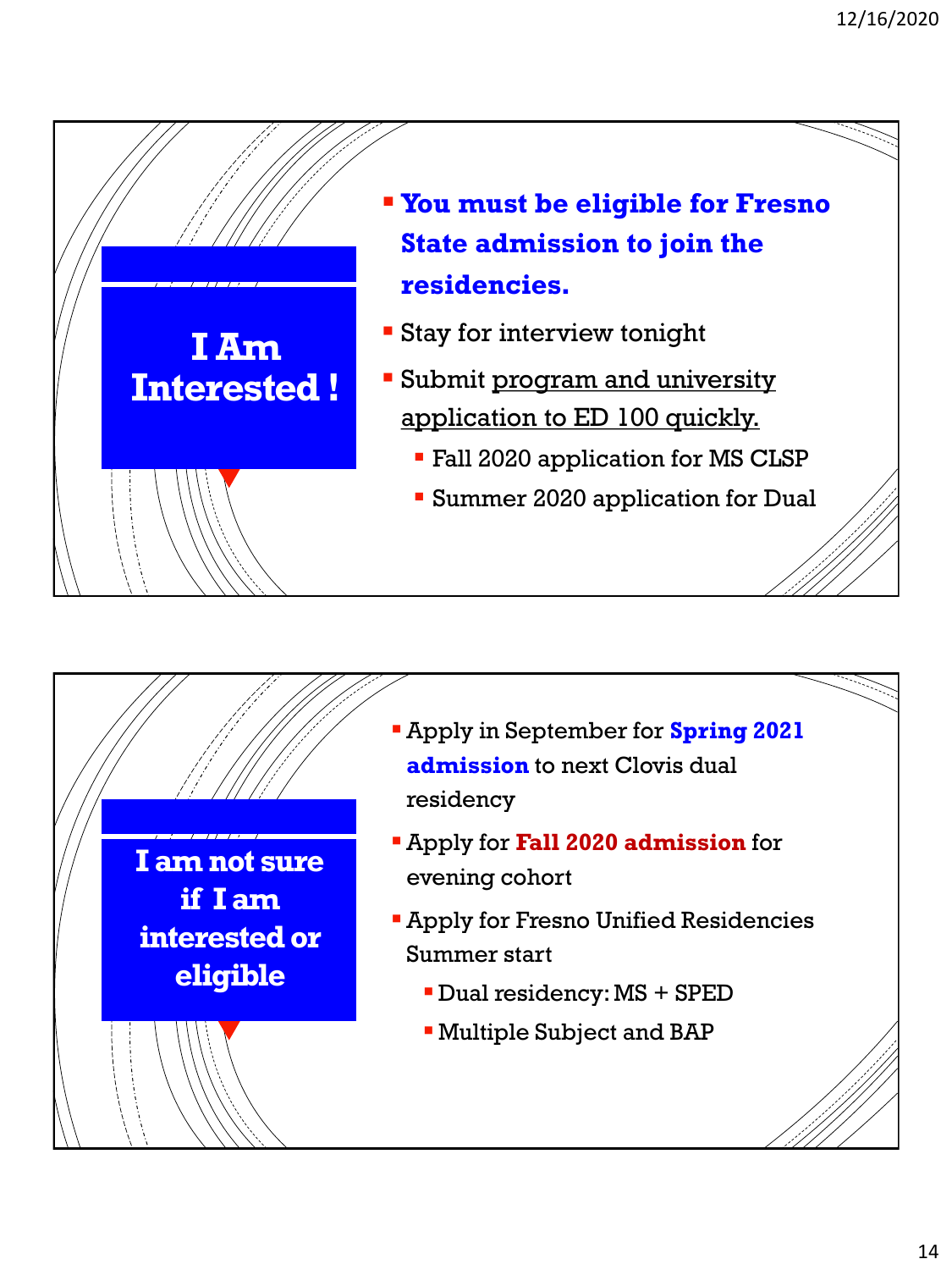



- Apply in September for **Spring 2021 admission** to next Clovis dual residency
- Apply for **Fall 2020 admission** for evening cohort
- **Apply for Fresno Unified Residencies** Summer start
	- Dual residency: MS + SPED
	- Multiple Subject and BAP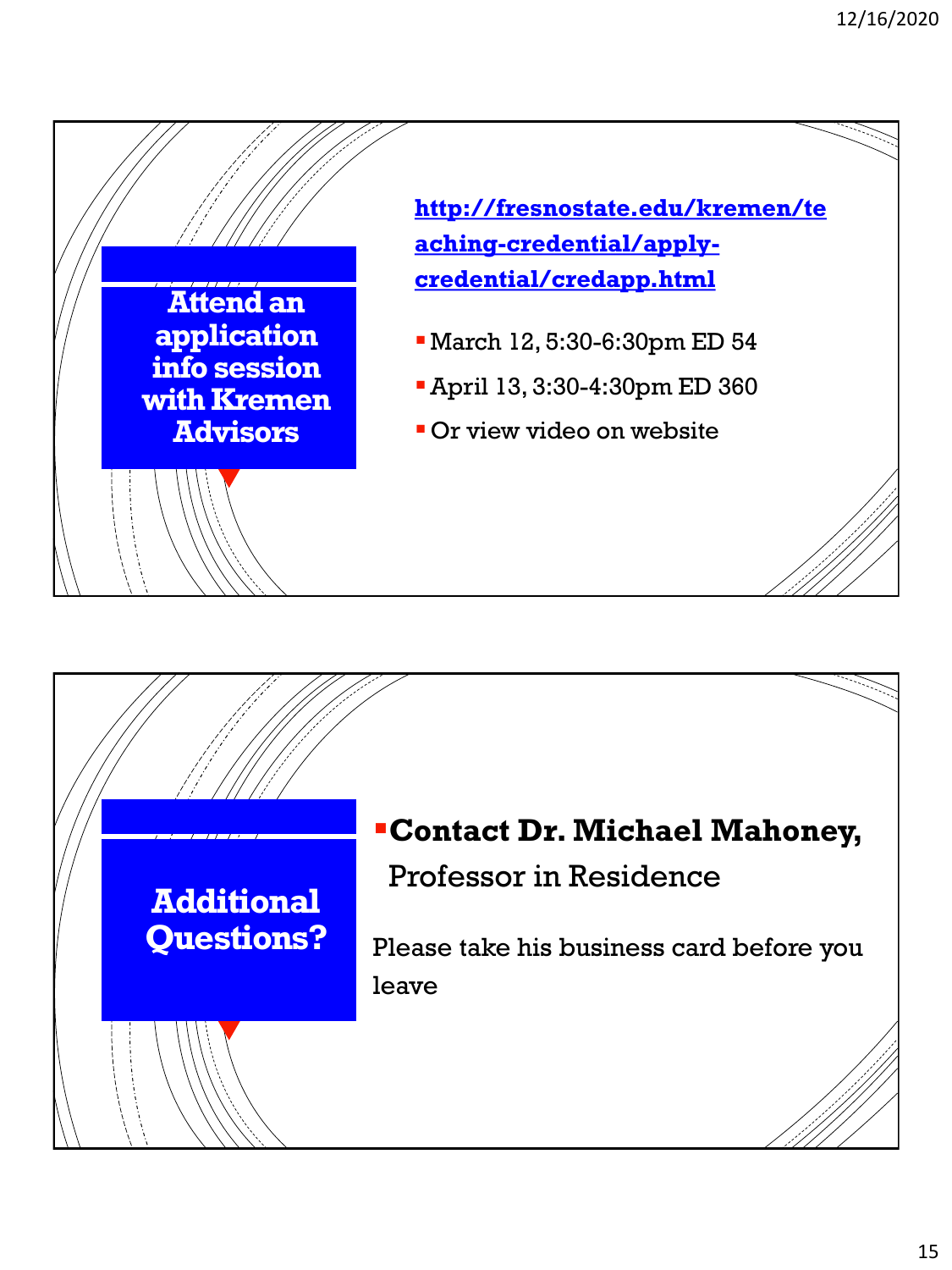